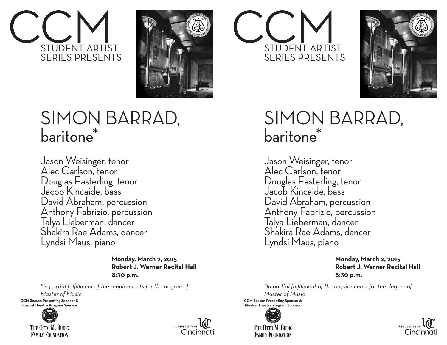



## SIMON BARRAD, baritone\*

Jason Weisinger, tenor Alec Carlson, tenor Douglas Easterling, tenor Jacob Kincaide, bass David Abraham, percussion Anthony Fabrizio, percussion Talya Lieberman, dancer Shakira Rae Adams, dancer Lyndsi Maus, piano

> **Monday, March 2, 2015 Robert J. Werner Recital Hall 8:30 p.m.**

*\*In partial fulfillment of the requirements for the degree of*

*Master of Music* **CCM Season Presenting Sponsor &** 

**Musical Theatre Program Sponsor**